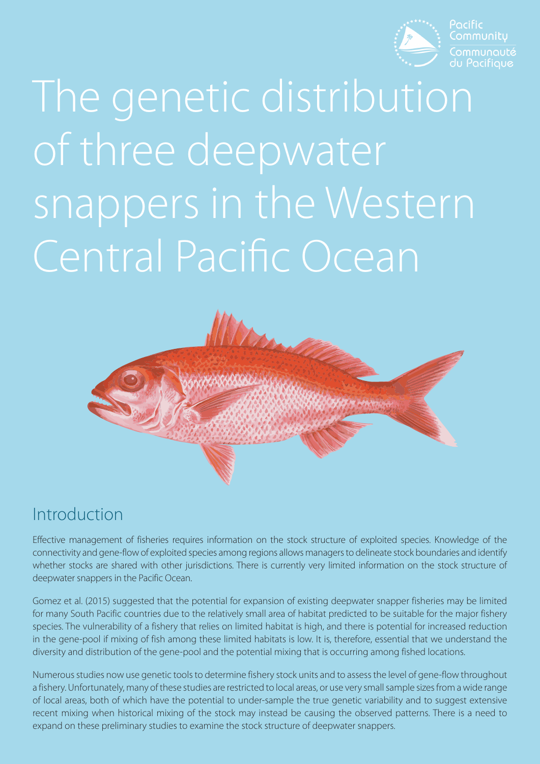

Pacific Communitu

# The genetic distribution of three deepwater snappers in the Western Central Pacific Ocean



#### Introduction

Effective management of fisheries requires information on the stock structure of exploited species. Knowledge of the connectivity and gene-flow of exploited species among regions allows managers to delineate stock boundaries and identify whether stocks are shared with other jurisdictions. There is currently very limited information on the stock structure of deepwater snappers in the Pacific Ocean.

Gomez et al. (2015) suggested that the potential for expansion of existing deepwater snapper fisheries may be limited for many South Pacific countries due to the relatively small area of habitat predicted to be suitable for the major fishery species. The vulnerability of a fishery that relies on limited habitat is high, and there is potential for increased reduction in the gene-pool if mixing of fish among these limited habitats is low. It is, therefore, essential that we understand the diversity and distribution of the gene-pool and the potential mixing that is occurring among fished locations.

Numerous studies now use genetic tools to determine fishery stock units and to assess the level of gene-flow throughout a fishery. Unfortunately, many of these studies are restricted to local areas, or use very small sample sizes from a wide range of local areas, both of which have the potential to under-sample the true genetic variability and to suggest extensive recent mixing when historical mixing of the stock may instead be causing the observed patterns. There is a need to expand on these preliminary studies to examine the stock structure of deepwater snappers.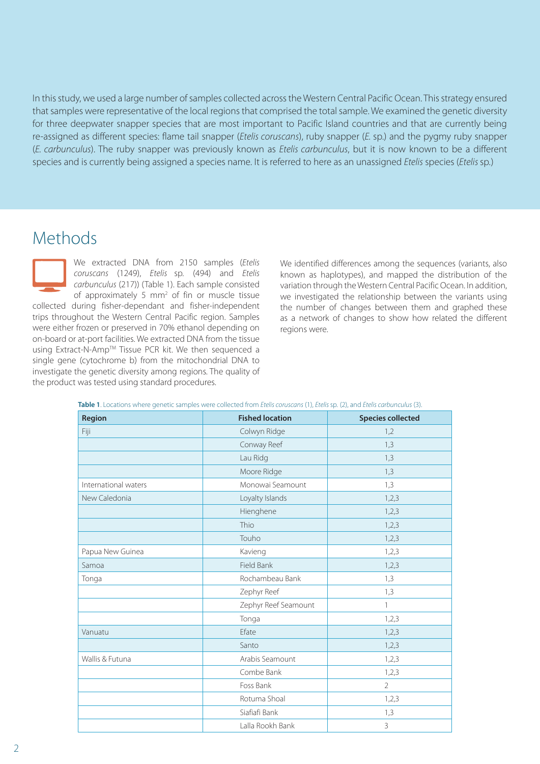In this study, we used a large number of samples collected across the Western Central Pacific Ocean. This strategy ensured that samples were representative of the local regions that comprised the total sample. We examined the genetic diversity for three deepwater snapper species that are most important to Pacific Island countries and that are currently being re-assigned as different species: flame tail snapper (*Etelis coruscans*), ruby snapper (*E.* sp.) and the pygmy ruby snapper (*E. carbunculus*). The ruby snapper was previously known as *Etelis carbunculus*, but it is now known to be a different species and is currently being assigned a species name. It is referred to here as an unassigned *Etelis* species (*Etelis* sp*.*)

#### Methods

We extracted DNA from 2150 samples (*Etelis coruscans* (1249), *Etelis* sp*.* (494) and *Etelis carbunculus* (217)) (Table 1). Each sample consisted of approximately 5 mm<sup>2</sup> of fin or muscle tissue collected during fisher-dependant and fisher-independent trips throughout the Western Central Pacific region. Samples were either frozen or preserved in 70% ethanol depending on on-board or at-port facilities. We extracted DNA from the tissue using Extract-N-AmpTM Tissue PCR kit. We then sequenced a single gene (cytochrome b) from the mitochondrial DNA to investigate the genetic diversity among regions. The quality of the product was tested using standard procedures.

We identified differences among the sequences (variants, also known as haplotypes), and mapped the distribution of the variation through the Western Central Pacific Ocean. In addition, we investigated the relationship between the variants using the number of changes between them and graphed these as a network of changes to show how related the different regions were.

| Region               | <b>Fished location</b> | <b>Species collected</b> |
|----------------------|------------------------|--------------------------|
| Fiji                 | Colwyn Ridge           | 1,2                      |
|                      | Conway Reef            | 1,3                      |
|                      | Lau Ridg               | 1,3                      |
|                      | Moore Ridge            | 1,3                      |
| International waters | Monowai Seamount       | 1,3                      |
| New Caledonia        | Loyalty Islands        | 1,2,3                    |
|                      | Hienghene              | 1,2,3                    |
|                      | Thio                   | 1,2,3                    |
|                      | Touho                  | 1,2,3                    |
| Papua New Guinea     | Kavieng                | 1,2,3                    |
| Samoa                | Field Bank             | 1,2,3                    |
| Tonga                | Rochambeau Bank        | 1,3                      |
|                      | Zephyr Reef            | 1,3                      |
|                      | Zephyr Reef Seamount   | $\mathbf{1}$             |
|                      | Tonga                  | 1,2,3                    |
| Vanuatu              | Efate                  | 1,2,3                    |
|                      | Santo                  | 1,2,3                    |
| Wallis & Futuna      | Arabis Seamount        | 1,2,3                    |
|                      | Combe Bank             | 1,2,3                    |
|                      | Foss Bank              | $\overline{2}$           |
|                      | Rotuma Shoal           | 1,2,3                    |
|                      | Siafiafi Bank          | 1,3                      |
|                      | Lalla Rookh Bank       | 3                        |

**Table 1**. Locations where genetic samples were collected from *Etelis coruscans* (1), *Etelis* sp*.* (2), and *Etelis carbunculus* (3).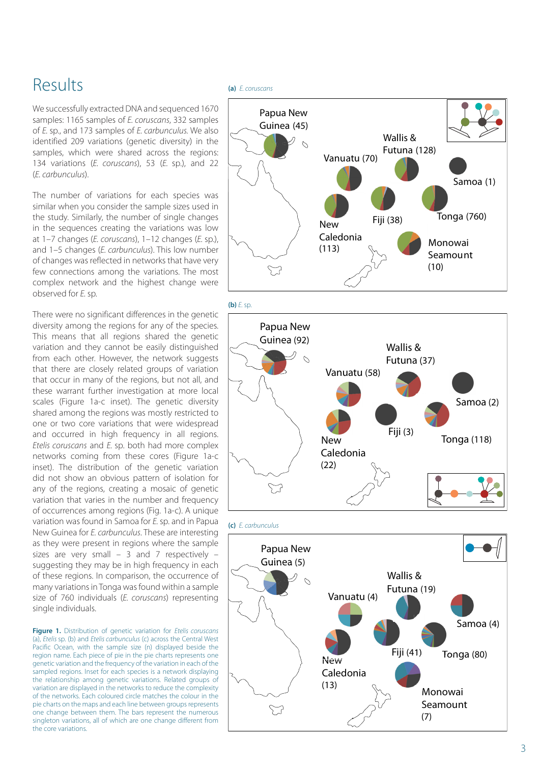### Results

We successfully extracted DNA and sequenced 1670 samples: 1165 samples of *E. coruscans*, 332 samples of *E.* sp., and 173 samples of *E. carbunculus.* We also identified 209 variations (genetic diversity) in the samples, which were shared across the regions: 134 variations (*E. coruscans*), 53 (*E.* sp.), and 22 (*E. carbunculus*).

The number of variations for each species was similar when you consider the sample sizes used in the study. Similarly, the number of single changes in the sequences creating the variations was low at 1–7 changes (*E. coruscans*), 1–12 changes (*E.* sp.), and 1–5 changes (*E. carbunculus*). This low number of changes was reflected in networks that have very few connections among the variations. The most complex network and the highest change were observed for *E.* sp*.*

There were no significant differences in the genetic diversity among the regions for any of the species. This means that all regions shared the genetic variation and they cannot be easily distinguished from each other. However, the network suggests that there are closely related groups of variation that occur in many of the regions, but not all, and these warrant further investigation at more local scales (Figure 1a-c inset). The genetic diversity shared among the regions was mostly restricted to one or two core variations that were widespread and occurred in high frequency in all regions. *Etelis coruscans* and *E.* sp. both had more complex networks coming from these cores (Figure 1a-c inset). The distribution of the genetic variation did not show an obvious pattern of isolation for any of the regions, creating a mosaic of genetic variation that varies in the number and frequency of occurrences among regions (Fig. 1a-c). A unique variation was found in Samoa for *E.* sp. and in Papua New Guinea for *E. carbunculus*. These are interesting as they were present in regions where the sample sizes are very small  $-3$  and 7 respectively  $$ suggesting they may be in high frequency in each of these regions. In comparison, the occurrence of many variations in Tonga was found within a sample size of 760 individuals (*E. coruscans*) representing single individuals.

**Figure 1.** Distribution of genetic variation for *Etelis coruscans* (a), *Etelis* sp. (b) and *Etelis carbunculus* (c) across the Central West Pacific Ocean, with the sample size (n) displayed beside the region name. Each piece of pie in the pie charts represents one genetic variation and the frequency of the variation in each of the sampled regions. Inset for each species is a network displaying the relationship among genetic variations. Related groups of variation are displayed in the networks to reduce the complexity of the networks. Each coloured circle matches the colour in the pie charts on the maps and each line between groups represents one change between them. The bars represent the numerous singleton variations, all of which are one change different from the core variations.